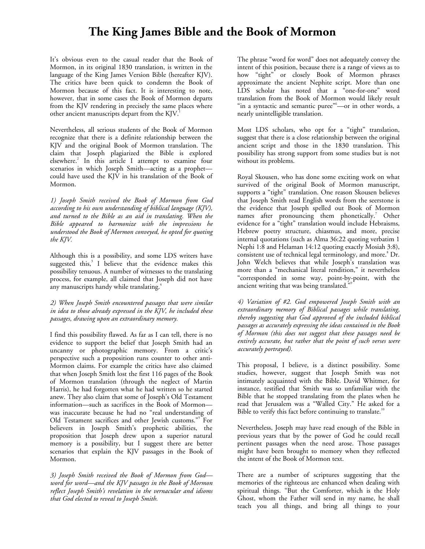## **The King James Bible and the Book of Mormon**

It's obvious even to the casual reader that the Book of Mormon, in its original 1830 translation, is written in the language of the King James Version Bible (hereafter KJV). The critics have been quick to condemn the Book of Mormon because of this fact. It is interesting to note, however, that in some cases the Book of Mormon departs from the KJV rendering in precisely the same places where other ancient manuscripts depart from the KJV.<sup>1</sup>

Nevertheless, all serious students of the Book of Mormon recognize that there is a definite relationship between the KJV and the original Book of Mormon translation. The claim that Joseph plagiarized the Bible is explored elsewhere.<sup>2</sup>In this article I attempt to examine four scenarios in which Joseph Smith—acting as a prophet could have used the KJV in his translation of the Book of Mormon.

*1) Joseph Smith received the Book of Mormon from God according to his own understanding of biblical language (KJV), and turned to the Bible as an aid in translating. When the Bible appeared to harmonize with the impressions he understood the Book of Mormon conveyed, he opted for quoting the KJV.* 

Although this is a possibility, and some LDS writers have suggestedthis, $3$  I believe that the evidence makes this possibility tenuous. A number of witnesses to the translating process, for example, all claimed that Joseph did not have any manuscripts handy while translating.<sup>4</sup>

*2) When Joseph Smith encountered passages that were similar in idea to those already expressed in the KJV, he included these passages, drawing upon an extraordinary memory.* 

I find this possibility flawed. As far as I can tell, there is no evidence to support the belief that Joseph Smith had an uncanny or photographic memory. From a critic's perspective such a proposition runs counter to other anti-Mormon claims. For example the critics have also claimed that when Joseph Smith lost the first 116 pages of the Book of Mormon translation (through the neglect of Martin Harris), he had forgotten what he had written so he started anew. They also claim that some of Joseph's Old Testament information—such as sacrifices in the Book of Mormon was inaccurate because he had no "real understanding of OldTestament sacrifices and other Jewish customs."<sup>5</sup> For believers in Joseph Smith's prophetic abilities, the proposition that Joseph drew upon a superior natural memory is a possibility, but I suggest there are better scenarios that explain the KJV passages in the Book of Mormon.

*3) Joseph Smith received the Book of Mormon from God word for word—and the KJV passages in the Book of Mormon reflect Joseph Smith's revelation in the vernacular and idioms that God elected to reveal to Joseph Smith.* 

The phrase "word for word" does not adequately convey the intent of this position, because there is a range of views as to how "tight" or closely Book of Mormon phrases approximate the ancient Nephite script. More than one LDS scholar has noted that a "one-for-one" word translation from the Book of Mormon would likely result "in a syntactic and semantic puree"<sup>6</sup>—or in other words, a nearly unintelligible translation.

Most LDS scholars, who opt for a "tight" translation, suggest that there is a close relationship between the original ancient script and those in the 1830 translation. This possibility has strong support from some studies but is not without its problems.

Royal Skousen, who has done some exciting work on what survived of the original Book of Mormon manuscript, supports a "tight" translation. One reason Skousen believes that Joseph Smith read English words from the seerstone is the evidence that Joseph spelled out Book of Mormon namesafter pronouncing them phonetically.<sup>7</sup> Other evidence for a "tight" translation would include Hebraisms, Hebrew poetry structure, chiasmus, and more, precise internal quotations (such as Alma 36:22 quoting verbatim 1 Nephi 1:8 and Helaman 14:12 quoting exactly Mosiah 3:8), consistentuse of technical legal terminology, and more.<sup>8</sup> Dr. John Welch believes that while Joseph's translation was more than a "mechanical literal rendition," it nevertheless "corresponded in some way, point-by-point, with the ancient writing that was being translated."

*4) Variation of #2. God empowered Joseph Smith with an extraordinary memory of Biblical passages while translating, thereby suggesting that God approved of the included biblical passages as accurately expressing the ideas contained in the Book of Mormon (this does not suggest that these passages need be entirely accurate, but rather that the point of such verses were accurately portrayed).* 

This proposal, I believe, is a distinct possibility. Some studies, however, suggest that Joseph Smith was not intimately acquainted with the Bible. David Whitmer, for instance, testified that Smith was so unfamiliar with the Bible that he stopped translating from the plates when he read that Jerusalem was a "Walled City." He asked for a Bible to verify this fact before continuing to translate.<sup>10</sup>

Nevertheless, Joseph may have read enough of the Bible in previous years that by the power of God he could recall pertinent passages when the need arose. Those passages might have been brought to memory when they reflected the intent of the Book of Mormon text.

There are a number of scriptures suggesting that the memories of the righteous are enhanced when dealing with spiritual things. "But the Comforter, which is the Holy Ghost, whom the Father will send in my name, he shall teach you all things, and bring all things to your